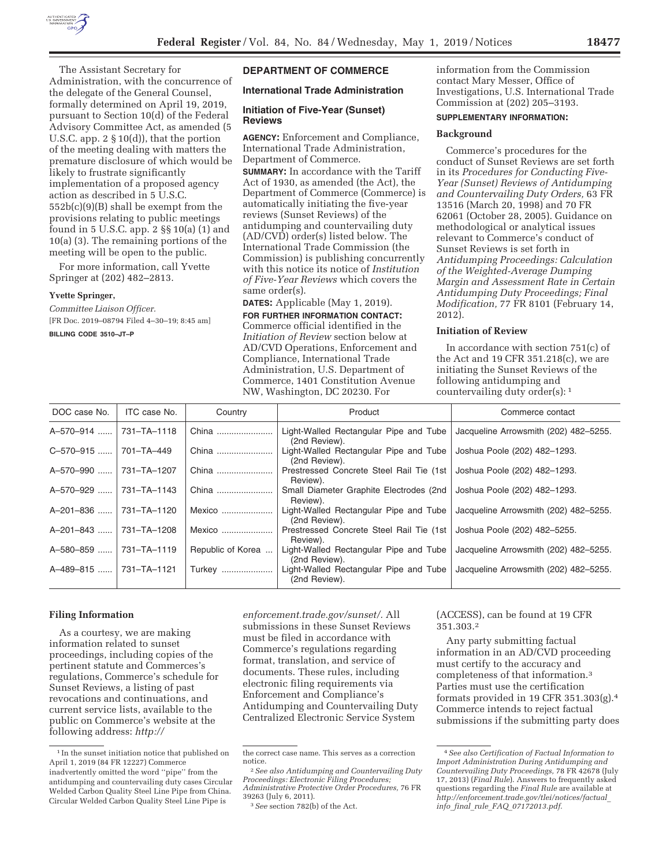

The Assistant Secretary for Administration, with the concurrence of the delegate of the General Counsel, formally determined on April 19, 2019, pursuant to Section 10(d) of the Federal Advisory Committee Act, as amended (5 U.S.C. app. 2 § 10(d)), that the portion of the meeting dealing with matters the premature disclosure of which would be likely to frustrate significantly implementation of a proposed agency action as described in 5 U.S.C. 552b(c)(9)(B) shall be exempt from the provisions relating to public meetings found in 5 U.S.C. app. 2 §§ 10(a) (1) and 10(a) (3). The remaining portions of the meeting will be open to the public.

For more information, call Yvette Springer at (202) 482–2813.

### **Yvette Springer,**

*Committee Liaison Officer.*  [FR Doc. 2019–08794 Filed 4–30–19; 8:45 am]

**BILLING CODE 3510–JT–P** 

## **DEPARTMENT OF COMMERCE**

## **International Trade Administration**

## **Initiation of Five-Year (Sunset) Reviews**

**AGENCY:** Enforcement and Compliance, International Trade Administration, Department of Commerce.

**SUMMARY:** In accordance with the Tariff Act of 1930, as amended (the Act), the Department of Commerce (Commerce) is automatically initiating the five-year reviews (Sunset Reviews) of the antidumping and countervailing duty (AD/CVD) order(s) listed below. The International Trade Commission (the Commission) is publishing concurrently with this notice its notice of *Institution of Five-Year Reviews* which covers the same order(s).

**DATES:** Applicable (May 1, 2019). **FOR FURTHER INFORMATION CONTACT:**  Commerce official identified in the *Initiation of Review* section below at AD/CVD Operations, Enforcement and Compliance, International Trade Administration, U.S. Department of Commerce, 1401 Constitution Avenue NW, Washington, DC 20230. For

information from the Commission contact Mary Messer, Office of Investigations, U.S. International Trade Commission at (202) 205–3193.

## **SUPPLEMENTARY INFORMATION:**

## **Background**

Commerce's procedures for the conduct of Sunset Reviews are set forth in its *Procedures for Conducting Five-Year (Sunset) Reviews of Antidumping and Countervailing Duty Orders,* 63 FR 13516 (March 20, 1998) and 70 FR 62061 (October 28, 2005). Guidance on methodological or analytical issues relevant to Commerce's conduct of Sunset Reviews is set forth in *Antidumping Proceedings: Calculation of the Weighted-Average Dumping Margin and Assessment Rate in Certain Antidumping Duty Proceedings; Final Modification,* 77 FR 8101 (February 14, 2012).

## **Initiation of Review**

In accordance with section 751(c) of the Act and 19 CFR 351.218(c), we are initiating the Sunset Reviews of the following antidumping and countervailing duty order(s): 1

| DOC case No.                                                               | ITC case No. | Country           | Product                                                 | Commerce contact                      |
|----------------------------------------------------------------------------|--------------|-------------------|---------------------------------------------------------|---------------------------------------|
| A-570-914                                                                  | 731-TA-1118  | China             | Light-Walled Rectangular Pipe and Tube<br>(2nd Review). | Jacqueline Arrowsmith (202) 482-5255. |
| C-570-915                                                                  | 701-TA-449   | China             | Light-Walled Rectangular Pipe and Tube<br>(2nd Review). | Joshua Poole (202) 482-1293.          |
| A-570-990<br>.                                                             | 731-TA-1207  | China             | Prestressed Concrete Steel Rail Tie (1st)<br>Review).   | Joshua Poole (202) 482-1293.          |
| 1.1.1.1                                                                    | 731-TA-1143  | China             | Small Diameter Graphite Electrodes (2nd<br>Review).     | Joshua Poole (202) 482-1293.          |
|                                                                            | 731-TA-1120  | Mexico            | Light-Walled Rectangular Pipe and Tube<br>(2nd Review). | Jacqueline Arrowsmith (202) 482-5255. |
| 1.1.1.1                                                                    | 731-TA-1208  | Mexico            | Prestressed Concrete Steel Rail Tie (1st)<br>Review).   | Joshua Poole (202) 482-5255.          |
| . 1                                                                        | 731-TA-1119  | Republic of Korea | Light-Walled Rectangular Pipe and Tube<br>(2nd Review). | Jacqueline Arrowsmith (202) 482-5255. |
|                                                                            |              | Turkey            | Light-Walled Rectangular Pipe and Tube<br>(2nd Review). | Jacqueline Arrowsmith (202) 482-5255. |
| A-570-929<br>A-201-836<br>A-201-843<br>A-580-859<br>A-489-815  731-TA-1121 |              |                   |                                                         |                                       |

## **Filing Information**

As a courtesy, we are making information related to sunset proceedings, including copies of the pertinent statute and Commerces's regulations, Commerce's schedule for Sunset Reviews, a listing of past revocations and continuations, and current service lists, available to the public on Commerce's website at the following address: *http://*

*enforcement.trade.gov/sunset/.* All submissions in these Sunset Reviews must be filed in accordance with Commerce's regulations regarding format, translation, and service of documents. These rules, including electronic filing requirements via Enforcement and Compliance's Antidumping and Countervailing Duty Centralized Electronic Service System

(ACCESS), can be found at 19 CFR 351.303.2

Any party submitting factual information in an AD/CVD proceeding must certify to the accuracy and completeness of that information.3 Parties must use the certification formats provided in 19 CFR 351.303(g).4 Commerce intends to reject factual submissions if the submitting party does

<sup>&</sup>lt;sup>1</sup> In the sunset initiation notice that published on April 1, 2019 (84 FR 12227) Commerce inadvertently omitted the word ''pipe'' from the antidumping and countervailing duty cases Circular Welded Carbon Quality Steel Line Pipe from China. Circular Welded Carbon Quality Steel Line Pipe is

the correct case name. This serves as a correction

notice. 2*See also Antidumping and Countervailing Duty Proceedings: Electronic Filing Procedures;* 

*Administrative Protective Order Procedures,* 76 FR

<sup>&</sup>lt;sup>3</sup> See section 782(b) of the Act.

<sup>4</sup>*See also Certification of Factual Information to Import Administration During Antidumping and Countervailing Duty Proceedings,* 78 FR 42678 (July 17, 2013) (*Final Rule*). Answers to frequently asked questions regarding the *Final Rule* are available at *http://enforcement.trade.gov/tlei/notices/factual*\_ *info*\_*final*\_*rule*\_*FAQ*\_*07172013.pdf.*